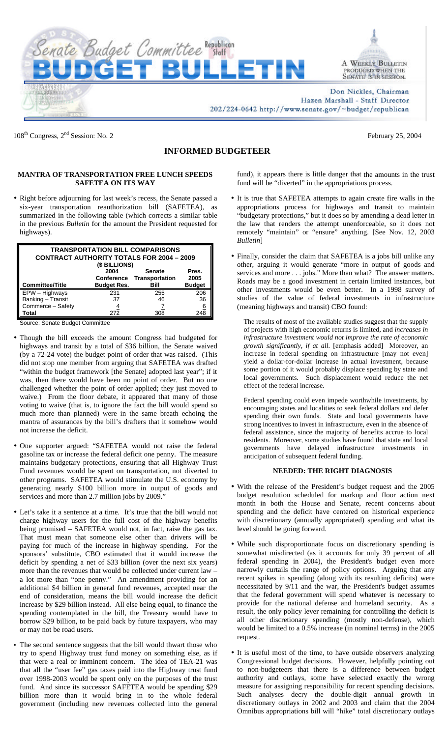



Don Nickles, Chairman Hazen Marshall - Staff Director 202/224-0642 http://www.senate.gov/~budget/republican

108<sup>th</sup> Congress, 2<sup>nd</sup> Session: No. 2

February 25, 2004

## **INFORMED BUDGETEER**

## **MANTRA OF TRANSPORTATION FREE LUNCH SPEEDS SAFETEA ON ITS WAY**

• Right before adjourning for last week's recess, the Senate passed a six-year transportation reauthorization bill (SAFETEA), as summarized in the following table (which corrects a similar table in the previous *Bulletin* for the amount the President requested for highways).

| <b>TRANSPORTATION BILL COMPARISONS</b><br><b>CONTRACT AUTHORITY TOTALS FOR 2004 - 2009</b><br>(\$ BILLIONS) |                    |                                            |               |  |  |  |  |
|-------------------------------------------------------------------------------------------------------------|--------------------|--------------------------------------------|---------------|--|--|--|--|
|                                                                                                             | 2004               | <b>Senate</b><br>Conference Transportation | Pres.<br>2005 |  |  |  |  |
| <b>Committee/Title</b>                                                                                      | <b>Budget Res.</b> | Bill                                       | <b>Budget</b> |  |  |  |  |
| EPW - Highways                                                                                              | 231                | 255                                        | 206           |  |  |  |  |
| Banking - Transit                                                                                           | 37                 | 46                                         | 36            |  |  |  |  |
| Commerce - Safety                                                                                           | $\overline{4}$     |                                            | <u>6</u>      |  |  |  |  |
| Total                                                                                                       | 272                | 308                                        | 248           |  |  |  |  |

Source: Senate Budget Committee

- Though the bill exceeds the amount Congress had budgeted for highways and transit by a total of \$36 billion, the Senate waived (by a 72-24 vote) the budget point of order that was raised. (This did not stop one member from arguing that SAFETEA was drafted "within the budget framework [the Senate] adopted last year"; if it was, then there would have been no point of order. But no one challenged whether the point of order applied; they just moved to waive.) From the floor debate, it appeared that many of those voting to waive (that is, to ignore the fact the bill would spend so much more than planned) were in the same breath echoing the mantra of assurances by the bill's drafters that it somehow would not increase the deficit.
- One supporter argued: "SAFETEA would not raise the federal gasoline tax or increase the federal deficit one penny. The measure maintains budgetary protections, ensuring that all Highway Trust Fund revenues would be spent on transportation, not diverted to other programs. SAFETEA would stimulate the U.S. economy by generating nearly \$100 billion more in output of goods and services and more than 2.7 million jobs by 2009."
- Let's take it a sentence at a time. It's true that the bill would not charge highway users for the full cost of the highway benefits being promised – SAFETEA would not, in fact, raise the gas tax. That must mean that someone else other than drivers will be paying for much of the increase in highway spending. For the sponsors' substitute, CBO estimated that it would increase the deficit by spending a net of \$33 billion (over the next six years) more than the revenues that would be collected under current law – a lot more than "one penny." An amendment providing for an additional \$4 billion in general fund revenues, accepted near the end of consideration, means the bill would increase the deficit increase by \$29 billion instead. All else being equal, to finance the spending contemplated in the bill, the Treasury would have to borrow \$29 billion, to be paid back by future taxpayers, who may or may not be road users.
- The second sentence suggests that the bill would thwart those who try to spend Highway trust fund money on something else, as if that were a real or imminent concern. The idea of TEA-21 was that all the "user fee" gas taxes paid into the Highway trust fund over 1998-2003 would be spent only on the purposes of the trust fund. And since its successor SAFETEA would be spending \$29 billion more than it would bring in to the whole federal government (including new revenues collected into the general

fund), it appears there is little danger that the amounts in the trust fund will be "diverted" in the appropriations process.

- It is true that SAFETEA attempts to again create fire walls in the appropriations process for highways and transit to maintain "budgetary protections," but it does so by amending a dead letter in the law that renders the attempt unenforceable, so it does not remotely "maintain" or "ensure" anything. [See Nov. 12, 2003 *Bulletin*]
- Finally, consider the claim that SAFETEA is a jobs bill unlike any other, arguing it would generate "more in output of goods and services and more . . . jobs." More than what? The answer matters. Roads may be a good investment in certain limited instances, but other investments would be even better. In a 1998 survey of studies of the value of federal investments in infrastructure (meaning highways and transit) CBO found:

The results of most of the available studies suggest that the supply of projects with high economic returns is limited, and *increases in infrastructure investment would not improve the rate of economic growth significantly, if at all*. [emphasis added] Moreover, an increase in federal spending on infrastructure [may not even] yield a dollar-for-dollar increase in actual investment, because some portion of it would probably displace spending by state and local governments. Such displacement would reduce the net effect of the federal increase.

Federal spending could even impede worthwhile investments, by encouraging states and localities to seek federal dollars and defer spending their own funds. State and local governments have strong incentives to invest in infrastructure, even in the absence of federal assistance, since the majority of benefits accrue to local residents. Moreover, some studies have found that state and local governments have delayed infrastructure investments in anticipation of subsequent federal funding.

## **NEEDED: THE RIGHT DIAGNOSIS**

- With the release of the President's budget request and the 2005 budget resolution scheduled for markup and floor action next month in both the House and Senate, recent concerns about spending and the deficit have centered on historical experience with discretionary (annually appropriated) spending and what its level should be going forward.
- While such disproportionate focus on discretionary spending is somewhat misdirected (as it accounts for only 39 percent of all federal spending in 2004), the President's budget even more narrowly curtails the range of policy options. Arguing that any recent spikes in spending (along with its resulting deficits) were necessitated by 9/11 and the war, the President's budget assumes that the federal government will spend whatever is necessary to provide for the national defense and homeland security. As a result, the only policy lever remaining for controlling the deficit is all other discretionary spending (mostly non-defense), which would be limited to a 0.5% increase (in nominal terms) in the 2005 request.
- It is useful most of the time, to have outside observers analyzing Congressional budget decisions. However, helpfully pointing out to non-budgeteers that there is a difference between budget authority and outlays, some have selected exactly the wrong measure for assigning responsibility for recent spending decisions. Such analyses decry the double-digit annual growth in discretionary outlays in 2002 and 2003 and claim that the 2004 Omnibus appropriations bill will "hike" total discretionary outlays